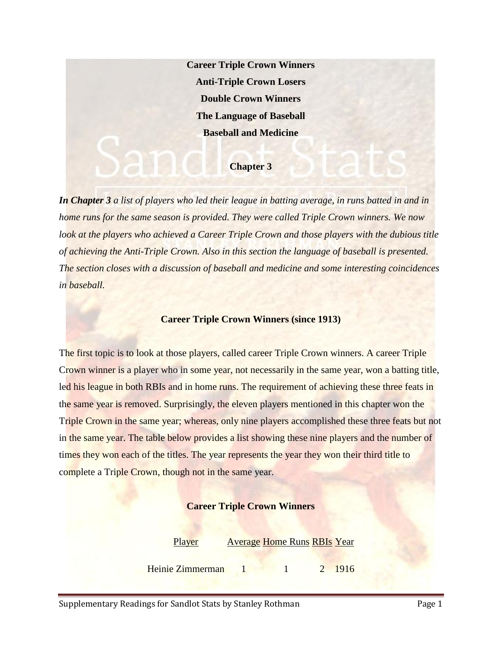**Career Triple Crown Winners Anti-Triple Crown Losers Double Crown Winners The Language of Baseball Baseball and Medicine**

## **Chapter 3**

*In Chapter 3 a list of players who led their league in batting average, in runs batted in and in home runs for the same season is provided. They were called Triple Crown winners. We now*  look at the players who achieved a Career Triple Crown and those players with the dubious title *of achieving the Anti-Triple Crown. Also in this section the language of baseball is presented. The section closes with a discussion of baseball and medicine and some interesting coincidences in baseball.*

## **Career Triple Crown Winners (since 1913)**

The first topic is to look at those players, called career Triple Crown winners. A career Triple Crown winner is a player who in some year, not necessarily in the same year, won a batting title, led his league in both RBIs and in home runs. The requirement of achieving these three feats in the same year is removed. Surprisingly, the eleven players mentioned in this chapter won the Triple Crown in the same year; whereas, only nine players accomplished these three feats but not in the same year. The table below provides a list showing these nine players and the number of times they won each of the titles. The year represents the year they won their third title to complete a Triple Crown, though not in the same year.

## **Career Triple Crown Winners**

Player Average Home Runs RBIs Year

Heinie Zimmerman 1 1 2 1916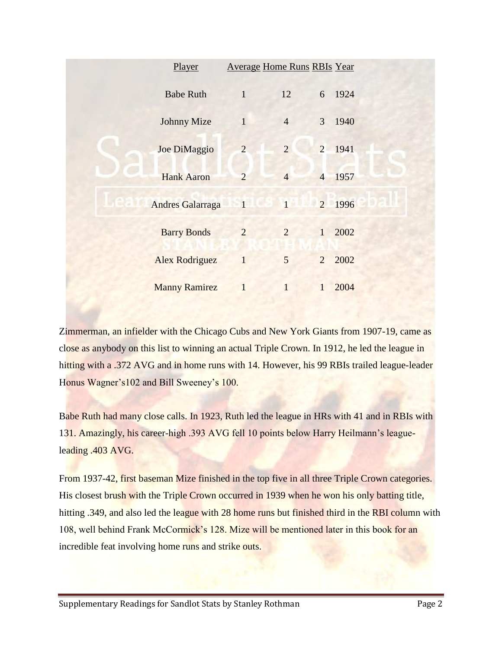| Player                           |                | <b>Average Home Runs RBIs Year</b> |                |        |  |  |
|----------------------------------|----------------|------------------------------------|----------------|--------|--|--|
| <b>Babe Ruth</b>                 | $\mathbf{1}$   | 12                                 |                | 6 1924 |  |  |
| <b>Johnny Mize</b>               | $\mathbf{1}$   | $\overline{4}$                     | $\mathfrak{Z}$ | 1940   |  |  |
| Joe DiMaggio                     | $\overline{2}$ | $\overline{2}$                     |                | 2 1941 |  |  |
| <b>Hank Aaron</b>                | $\overline{2}$ | $\overline{4}$                     |                | 4 1957 |  |  |
| ie au<br><b>Andres Galarraga</b> |                | 1 1 2 1996                         |                |        |  |  |
| <b>Barry Bonds</b>               | $\overline{2}$ | $\overline{2}$                     | 1              | 2002   |  |  |
| <b>Alex Rodriguez</b>            | 1              | 5                                  | $\overline{2}$ | 2002   |  |  |
| <b>Manny Ramirez</b>             | $\mathbf{1}$   | $\mathbf{1}$                       | $\mathbf{1}$   | 2004   |  |  |

Zimmerman, an infielder with the Chicago Cubs and New York Giants from 1907-19, came as close as anybody on this list to winning an actual Triple Crown. In 1912, he led the league in hitting with a .372 AVG and in home runs with 14. However, his 99 RBIs trailed league-leader Honus Wagner's102 and Bill Sweeney's 100.

Babe Ruth had many close calls. In 1923, Ruth led the league in HRs with 41 and in RBIs with 131. Amazingly, his career-high .393 AVG fell 10 points below Harry Heilmann's leagueleading .403 AVG.

From 1937-42, first baseman Mize finished in the top five in all three Triple Crown categories. His closest brush with the Triple Crown occurred in 1939 when he won his only batting title, hitting .349, and also led the league with 28 home runs but finished third in the RBI column with 108, well behind Frank McCormick's 128. Mize will be mentioned later in this book for an incredible feat involving home runs and strike outs.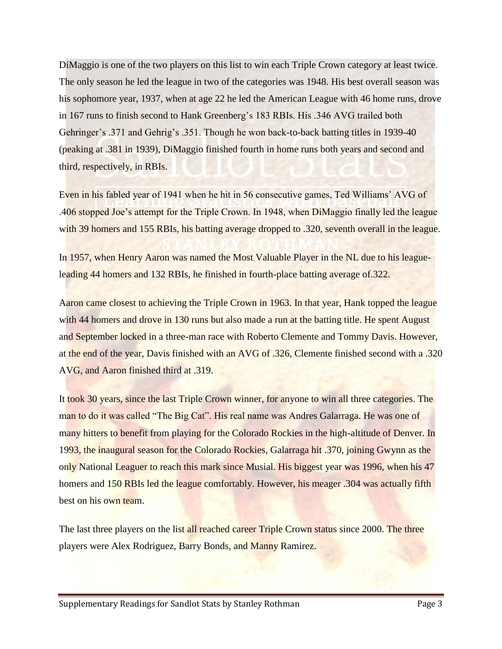DiMaggio is one of the two players on this list to win each Triple Crown category at least twice. The only season he led the league in two of the categories was 1948. His best overall season was his sophomore year, 1937, when at age 22 he led the American League with 46 home runs, drove in 167 runs to finish second to Hank Greenberg's 183 RBIs. His .346 AVG trailed both Gehringer's .371 and Gehrig's .351. Though he won back-to-back batting titles in 1939-40 (peaking at .381 in 1939), DiMaggio finished fourth in home runs both years and second and third, respectively, in RBIs.

Even in his fabled year of 1941 when he hit in 56 consecutive games, Ted Williams' AVG of .406 stopped Joe's attempt for the Triple Crown. In 1948, when DiMaggio finally led the league with 39 homers and 155 RBIs, his batting average dropped to .320, seventh overall in the league.

In 1957, when Henry Aaron was named the Most Valuable Player in the NL due to his leagueleading 44 homers and 132 RBIs, he finished in fourth-place batting average of.322.

Aaron came closest to achieving the Triple Crown in 1963. In that year, Hank topped the league with 44 homers and drove in 130 runs but also made a run at the batting title. He spent August and September locked in a three-man race with Roberto Clemente and Tommy Davis. However, at the end of the year, Davis finished with an AVG of .326, Clemente finished second with a .320 AVG, and Aaron finished third at .319.

It took 30 years, since the last Triple Crown winner, for anyone to win all three categories. The man to do it was called "The Big Cat". His real name was Andres Galarraga. He was one of many hitters to benefit from playing for the Colorado Rockies in the high-altitude of Denver. In 1993, the inaugural season for the Colorado Rockies, Galarraga hit .370, joining Gwynn as the only National Leaguer to reach this mark since Musial. His biggest year was 1996, when his 47 homers and 150 RBIs led the league comfortably. However, his meager .304 was actually fifth best on his own team.

The last three players on the list all reached career Triple Crown status since 2000. The three players were Alex Rodriguez, Barry Bonds, and Manny Ramirez.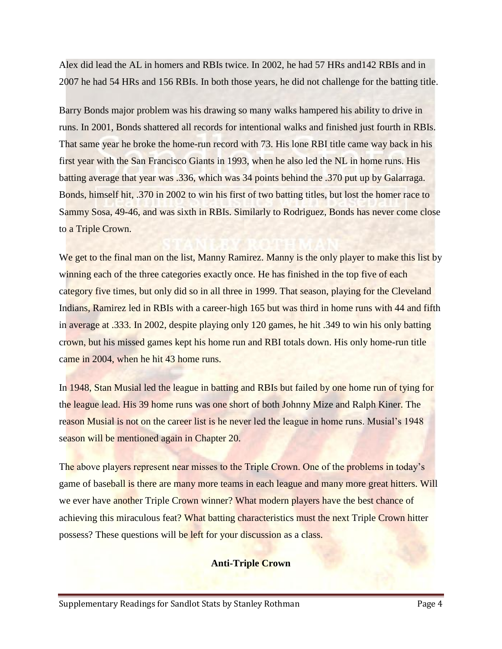Alex did lead the AL in homers and RBIs twice. In 2002, he had 57 HRs and142 RBIs and in 2007 he had 54 HRs and 156 RBIs. In both those years, he did not challenge for the batting title.

Barry Bonds major problem was his drawing so many walks hampered his ability to drive in runs. In 2001, Bonds shattered all records for intentional walks and finished just fourth in RBIs. That same year he broke the home-run record with 73. His lone RBI title came way back in his first year with the San Francisco Giants in 1993, when he also led the NL in home runs. His batting average that year was .336, which was 34 points behind the .370 put up by Galarraga. Bonds, himself hit, .370 in 2002 to win his first of two batting titles, but lost the homer race to Sammy Sosa, 49-46, and was sixth in RBIs. Similarly to Rodriguez, Bonds has never come close to a Triple Crown.

We get to the final man on the list, Manny Ramirez. Manny is the only player to make this list by winning each of the three categories exactly once. He has finished in the top five of each category five times, but only did so in all three in 1999. That season, playing for the Cleveland Indians, Ramirez led in RBIs with a career-high 165 but was third in home runs with 44 and fifth in average at .333. In 2002, despite playing only 120 games, he hit .349 to win his only batting crown, but his missed games kept his home run and RBI totals down. His only home-run title came in 2004, when he hit 43 home runs.

In 1948, Stan Musial led the league in batting and RBIs but failed by one home run of tying for the league lead. His 39 home runs was one short of both Johnny Mize and Ralph Kiner. The reason Musial is not on the career list is he never led the league in home runs. Musial's 1948 season will be mentioned again in Chapter 20.

The above players represent near misses to the Triple Crown. One of the problems in today's game of baseball is there are many more teams in each league and many more great hitters. Will we ever have another Triple Crown winner? What modern players have the best chance of achieving this miraculous feat? What batting characteristics must the next Triple Crown hitter possess? These questions will be left for your discussion as a class.

#### **Anti-Triple Crown**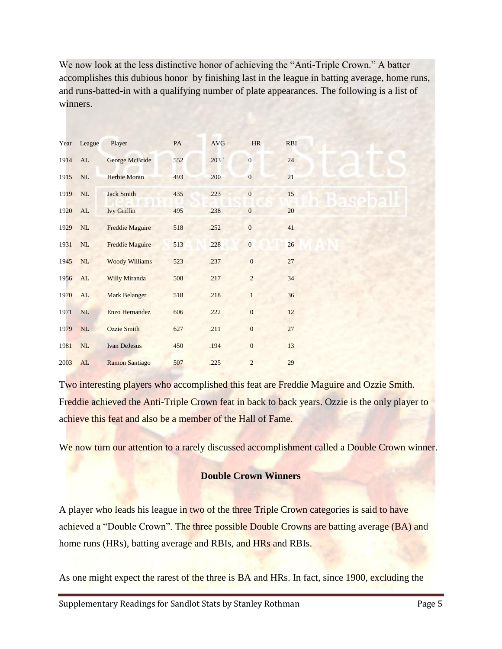We now look at the less distinctive honor of achieving the "Anti-Triple Crown." A batter accomplishes this dubious honor by finishing last in the league in batting average, home runs, and runs-batted-in with a qualifying number of plate appearances. The following is a list of winners.

|      | Year League | Player                 | PA  | <b>AVG</b> | HR               | <b>RBI</b> |  |
|------|-------------|------------------------|-----|------------|------------------|------------|--|
| 1914 | AL          | George McBride         | 552 | .203`      | $\mathbf{0}$     | 24         |  |
| 1915 | NL          | <b>Herbie Moran</b>    | 493 | .200       | $\overline{0}$   | 21         |  |
| 1919 | $\rm NL$    | <b>Jack Smith</b>      | 435 | .223       | $\boldsymbol{0}$ | 15         |  |
| 1920 | AL          | <b>Ivy Griffin</b>     | 495 | .238       | $\boldsymbol{0}$ | 20         |  |
| 1929 | NL          | <b>Freddie Maguire</b> | 518 | .252       | $\overline{0}$   | 41         |  |
| 1931 | $\rm NL$    | <b>Freddie Maguire</b> | 513 | .228       | $\boldsymbol{0}$ | 26         |  |
| 1945 | NL          | <b>Woody Williams</b>  | 523 | .237       | $\mathbf{0}$     | 27         |  |
| 1956 | AL          | <b>Willy Miranda</b>   | 508 | .217       | $\overline{c}$   | 34         |  |
| 1970 | AL          | <b>Mark Belanger</b>   | 518 | .218       | 1                | 36         |  |
| 1971 | NL          | Enzo Hernandez         | 606 | .222       | $\boldsymbol{0}$ | 12         |  |
| 1979 | NL          | <b>Ozzie Smith</b>     | 627 | .211       | $\overline{0}$   | $27\,$     |  |
| 1981 | $\rm NL$    | <b>Ivan DeJesus</b>    | 450 | .194       | $\boldsymbol{0}$ | 13         |  |
| 2003 | AL          | <b>Ramon Santiago</b>  | 507 | .225       | $\overline{2}$   | 29         |  |

Two interesting players who accomplished this feat are Freddie Maguire and Ozzie Smith. Freddie achieved the Anti-Triple Crown feat in back to back years. Ozzie is the only player to achieve this feat and also be a member of the Hall of Fame.

We now turn our attention to a rarely discussed accomplishment called a Double Crown winner.

## **Double Crown Winners**

A player who leads his league in two of the three Triple Crown categories is said to have achieved a "Double Crown". The three possible Double Crowns are batting average (BA) and home runs (HRs), batting average and RBIs, and HRs and RBIs.

As one might expect the rarest of the three is BA and HRs. In fact, since 1900, excluding the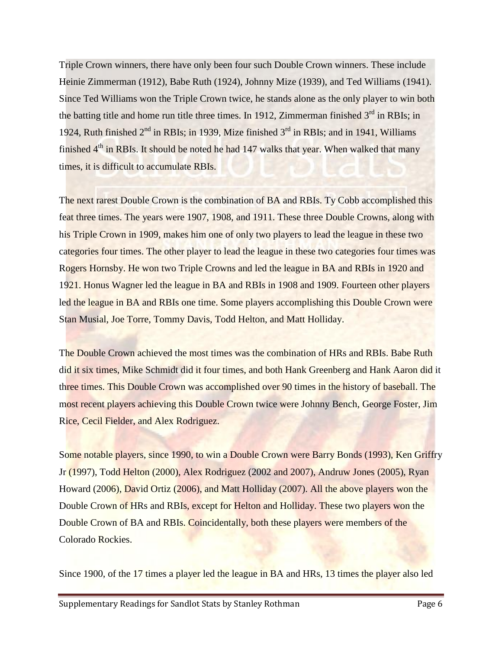Triple Crown winners, there have only been four such Double Crown winners. These include Heinie Zimmerman (1912), Babe Ruth (1924), Johnny Mize (1939), and Ted Williams (1941). Since Ted Williams won the Triple Crown twice, he stands alone as the only player to win both the batting title and home run title three times. In 1912, Zimmerman finished  $3<sup>rd</sup>$  in RBIs; in 1924, Ruth finished  $2<sup>nd</sup>$  in RBIs; in 1939, Mize finished  $3<sup>rd</sup>$  in RBIs; and in 1941, Williams finished  $4<sup>th</sup>$  in RBIs. It should be noted he had 147 walks that year. When walked that many times, it is difficult to accumulate RBIs.

The next rarest Double Crown is the combination of BA and RBIs. Ty Cobb accomplished this feat three times. The years were 1907, 1908, and 1911. These three Double Crowns, along with his Triple Crown in 1909, makes him one of only two players to lead the league in these two categories four times. The other player to lead the league in these two categories four times was Rogers Hornsby. He won two Triple Crowns and led the league in BA and RBIs in 1920 and 1921. Honus Wagner led the league in BA and RBIs in 1908 and 1909. Fourteen other players led the league in BA and RBIs one time. Some players accomplishing this Double Crown were Stan Musial, Joe Torre, Tommy Davis, Todd Helton, and Matt Holliday.

The Double Crown achieved the most times was the combination of HRs and RBIs. Babe Ruth did it six times, Mike Schmidt did it four times, and both Hank Greenberg and Hank Aaron did it three times. This Double Crown was accomplished over 90 times in the history of baseball. The most recent players achieving this Double Crown twice were Johnny Bench, George Foster, Jim Rice, Cecil Fielder, and Alex Rodriguez.

Some notable players, since 1990, to win a Double Crown were Barry Bonds (1993), Ken Griffry Jr (1997), Todd Helton (2000), Alex Rodriguez (2002 and 2007), Andruw Jones (2005), Ryan Howard (2006), David Ortiz (2006), and Matt Holliday (2007). All the above players won the Double Crown of HRs and RBIs, except for Helton and Holliday. These two players won the Double Crown of BA and RBIs. Coincidentally, both these players were members of the Colorado Rockies.

Since 1900, of the 17 times a player led the league in BA and HRs, 13 times the player also led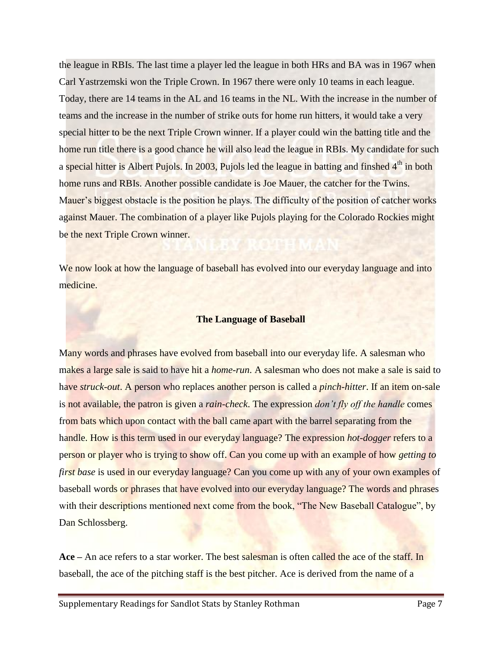the league in RBIs. The last time a player led the league in both HRs and BA was in 1967 when Carl Yastrzemski won the Triple Crown. In 1967 there were only 10 teams in each league. Today, there are 14 teams in the AL and 16 teams in the NL. With the increase in the number of teams and the increase in the number of strike outs for home run hitters, it would take a very special hitter to be the next Triple Crown winner. If a player could win the batting title and the home run title there is a good chance he will also lead the league in RBIs. My candidate for such a special hitter is Albert Pujols. In 2003, Pujols led the league in batting and finshed  $4<sup>th</sup>$  in both home runs and RBIs. Another possible candidate is Joe Mauer, the catcher for the Twins. Mauer's biggest obstacle is the position he plays. The difficulty of the position of catcher works against Mauer. The combination of a player like Pujols playing for the Colorado Rockies might be the next Triple Crown winner.

We now look at how the language of baseball has evolved into our everyday language and into medicine.

#### **The Language of Baseball**

Many words and phrases have evolved from baseball into our everyday life. A salesman who makes a large sale is said to have hit a *home-run*. A salesman who does not make a sale is said to have *struck-out*. A person who replaces another person is called a *pinch-hitter*. If an item on-sale is not available, the patron is given a *rain-check*. The expression *don't fly off the handle* comes from bats which upon contact with the ball came apart with the barrel separating from the handle. How is this term used in our everyday language? The expression *hot-dogger* refers to a person or player who is trying to show off. Can you come up with an example of how *getting to first base* is used in our everyday language? Can you come up with any of your own examples of baseball words or phrases that have evolved into our everyday language? The words and phrases with their descriptions mentioned next come from the book, "The New Baseball Catalogue", by Dan Schlossberg.

**Ace –** An ace refers to a star worker. The best salesman is often called the ace of the staff. In baseball, the ace of the pitching staff is the best pitcher. Ace is derived from the name of a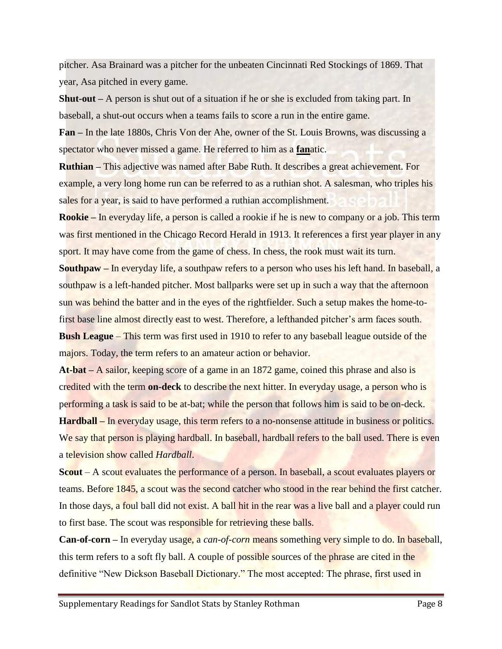pitcher. Asa Brainard was a pitcher for the unbeaten Cincinnati Red Stockings of 1869. That year, Asa pitched in every game.

**Shut-out –** A person is shut out of a situation if he or she is excluded from taking part. In baseball, a shut-out occurs when a teams fails to score a run in the entire game.

**Fan –** In the late 1880s, Chris Von der Ahe, owner of the St. Louis Browns, was discussing a spectator who never missed a game. He referred to him as a **fan**atic.

**Ruthian –** This adjective was named after Babe Ruth. It describes a great achievement. For example, a very long home run can be referred to as a ruthian shot. A salesman, who triples his sales for a year, is said to have performed a ruthian accomplishment.

**Rookie –** In everyday life, a person is called a rookie if he is new to company or a job. This term was first mentioned in the Chicago Record Herald in 1913. It references a first year player in any sport. It may have come from the game of chess. In chess, the rook must wait its turn.

**Southpaw –** In everyday life, a southpaw refers to a person who uses his left hand. In baseball, a southpaw is a left-handed pitcher. Most ballparks were set up in such a way that the afternoon sun was behind the batter and in the eyes of the rightfielder. Such a setup makes the home-tofirst base line almost directly east to west. Therefore, a lefthanded pitcher's arm faces south. **Bush League** – This term was first used in 1910 to refer to any baseball league outside of the majors. Today, the term refers to an amateur action or behavior.

**At-bat –** A sailor, keeping score of a game in an 1872 game, coined this phrase and also is credited with the term **on-deck** to describe the next hitter. In everyday usage, a person who is performing a task is said to be at-bat; while the person that follows him is said to be on-deck.

**Hardball –** In everyday usage, this term refers to a no-nonsense attitude in business or politics. We say that person is playing hardball. In baseball, hardball refers to the ball used. There is even a television show called *Hardball*.

**Scout** – A scout evaluates the performance of a person. In baseball, a scout evaluates players or teams. Before 1845, a scout was the second catcher who stood in the rear behind the first catcher. In those days, a foul ball did not exist. A ball hit in the rear was a live ball and a player could run to first base. The scout was responsible for retrieving these balls.

**Can-of-corn –** In everyday usage, a *can-of-corn* means something very simple to do. In baseball, this term refers to a soft fly ball. A couple of possible sources of the phrase are cited in the definitive "New Dickson Baseball Dictionary." The most accepted: The phrase, first used in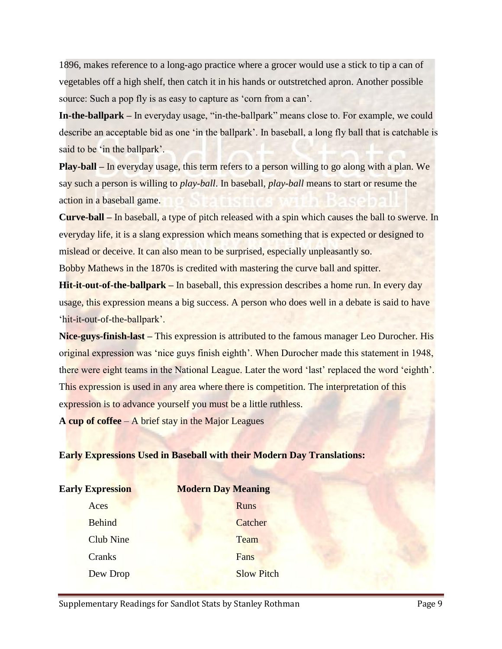1896, makes reference to a long-ago practice where a grocer would use a stick to tip a can of vegetables off a high shelf, then catch it in his hands or outstretched apron. Another possible source: Such a pop fly is as easy to capture as 'corn from a can'.

**In-the-ballpark –** In everyday usage, "in-the-ballpark" means close to. For example, we could describe an acceptable bid as one 'in the ballpark'. In baseball, a long fly ball that is catchable is said to be 'in the ballpark'.

**Play-ball –** In everyday usage, this term refers to a person willing to go along with a plan. We say such a person is willing to *play-ball*. In baseball, *play-ball* means to start or resume the action in a baseball game.

**Curve-ball –** In baseball, a type of pitch released with a spin which causes the ball to swerve. In everyday life, it is a slang expression which means something that is expected or designed to mislead or deceive. It can also mean to be surprised, especially unpleasantly so.

Bobby Mathews in the 1870s is credited with mastering the curve ball and spitter.

**Hit-it-out-of-the-ballpark –** In baseball, this expression describes a home run. In every day usage, this expression means a big success. A person who does well in a debate is said to have 'hit-it-out-of-the-ballpark'.

**Nice-guys-finish-last –** This expression is attributed to the famous manager Leo Durocher. His original expression was 'nice guys finish eighth'. When Durocher made this statement in 1948, there were eight teams in the National League. Later the word 'last' replaced the word 'eighth'. This expression is used in any area where there is competition. The interpretation of this expression is to advance yourself you must be a little ruthless.

**A cup of coffee** – A brief stay in the Major Leagues

# **Early Expressions Used in Baseball with their Modern Day Translations:**

| <b>Early Expression</b> | <b>Modern Day Meaning</b> |  |  |  |  |
|-------------------------|---------------------------|--|--|--|--|
| Aces                    | <b>Runs</b>               |  |  |  |  |
| <b>Behind</b>           | Catcher                   |  |  |  |  |
| <b>Club Nine</b>        | Team                      |  |  |  |  |
| Cranks                  | Fans                      |  |  |  |  |
| Dew Drop                | <b>Slow Pitch</b>         |  |  |  |  |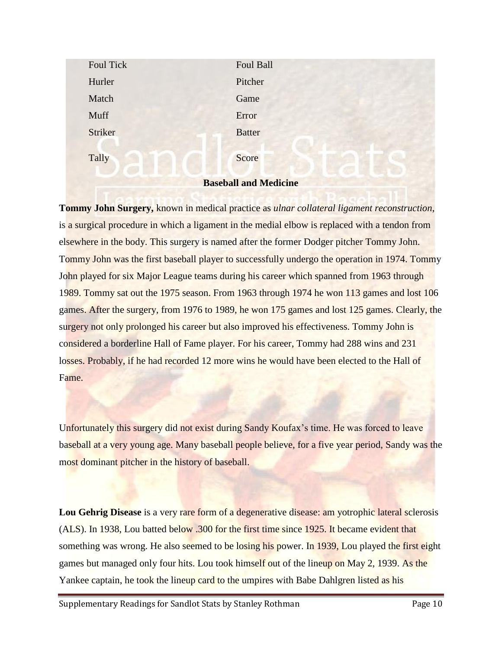| Foul Tick<br>Hurler          | Foul Ball<br>Pitcher |  |  |  |  |
|------------------------------|----------------------|--|--|--|--|
| Match                        | Game                 |  |  |  |  |
| Muff                         | Error                |  |  |  |  |
| Striker                      | <b>Batter</b>        |  |  |  |  |
|                              |                      |  |  |  |  |
| Tally                        | Score                |  |  |  |  |
| <b>Baseball and Medicine</b> |                      |  |  |  |  |

**Tommy John Surgery,** known in medical practice as *ulnar collateral ligament reconstruction*, is a surgical procedure in which a ligament in the medial elbow is replaced with a tendon from elsewhere in the body. This surgery is named after the former Dodger pitcher Tommy John. Tommy John was the first baseball player to successfully undergo the operation in 1974. Tommy John played for six Major League teams during his career which spanned from 1963 through 1989. Tommy sat out the 1975 season. From 1963 through 1974 he won 113 games and lost 106 games. After the surgery, from 1976 to 1989, he won 175 games and lost 125 games. Clearly, the surgery not only prolonged his career but also improved his effectiveness. Tommy John is considered a borderline Hall of Fame player. For his career, Tommy had 288 wins and 231 losses. Probably, if he had recorded 12 more wins he would have been elected to the Hall of Fame.

Unfortunately this surgery did not exist during Sandy Koufax's time. He was forced to leave baseball at a very young age. Many baseball people believe, for a five year period, Sandy was the most dominant pitcher in the history of baseball.

**Lou Gehrig Disease** is a very rare form of a degenerative disease: am yotrophic lateral sclerosis (ALS). In 1938, Lou batted below .300 for the first time since 1925. It became evident that something was wrong. He also seemed to be losing his power. In 1939, Lou played the first eight games but managed only four hits. Lou took himself out of the lineup on May 2, 1939. As the Yankee captain, he took the lineup card to the umpires with Babe Dahlgren listed as his